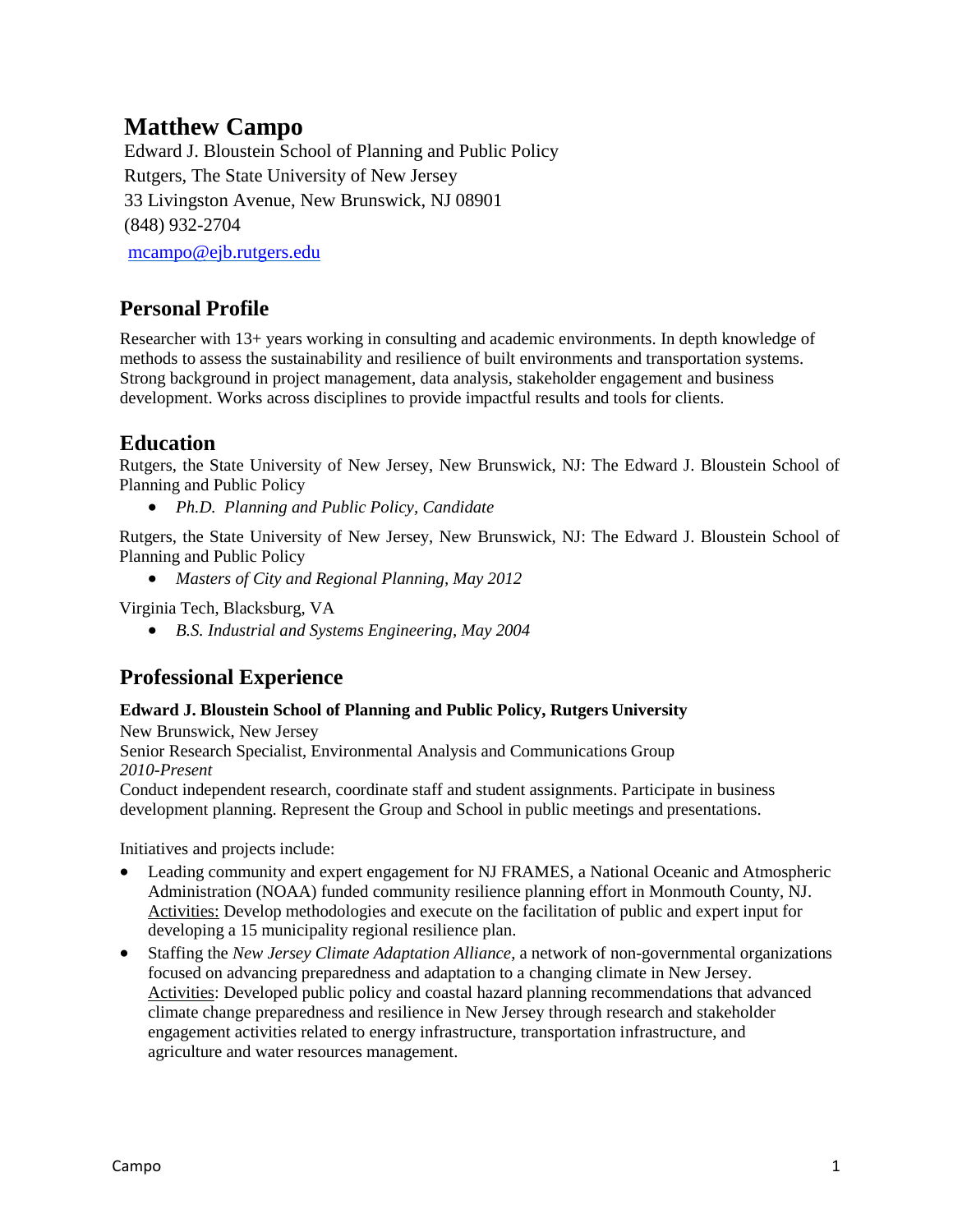# **Matthew Campo**

Edward J. Bloustein School of Planning and Public Policy Rutgers, The State University of New Jersey 33 Livingston Avenue, New Brunswick, NJ 08901 (848) 932-2704 [mcampo@ejb.rutgers.edu](mailto:mcampo@ejb.rutgers.edu)

**Personal Profile**

Researcher with 13+ years working in consulting and academic environments. In depth knowledge of methods to assess the sustainability and resilience of built environments and transportation systems. Strong background in project management, data analysis, stakeholder engagement and business development. Works across disciplines to provide impactful results and tools for clients.

## **Education**

Rutgers, the State University of New Jersey, New Brunswick, NJ: The Edward J. Bloustein School of Planning and Public Policy

*Ph.D. Planning and Public Policy, Candidate*

Rutgers, the State University of New Jersey, New Brunswick, NJ: The Edward J. Bloustein School of Planning and Public Policy

*Masters of City and Regional Planning, May 2012*

Virginia Tech, Blacksburg, VA

*B.S. Industrial and Systems Engineering, May 2004* 

## **Professional Experience**

### **Edward J. Bloustein School of Planning and Public Policy, Rutgers University**

New Brunswick, New Jersey Senior Research Specialist, Environmental Analysis and Communications Group *2010-Present*

Conduct independent research, coordinate staff and student assignments. Participate in business development planning. Represent the Group and School in public meetings and presentations.

Initiatives and projects include:

- Leading community and expert engagement for NJ FRAMES, a National Oceanic and Atmospheric Administration (NOAA) funded community resilience planning effort in Monmouth County, NJ. Activities: Develop methodologies and execute on the facilitation of public and expert input for developing a 15 municipality regional resilience plan.
- Staffing the *New Jersey Climate Adaptation Alliance*, a network of non-governmental organizations focused on advancing preparedness and adaptation to a changing climate in New Jersey. Activities: Developed public policy and coastal hazard planning recommendations that advanced climate change preparedness and resilience in New Jersey through research and stakeholder engagement activities related to energy infrastructure, transportation infrastructure, and agriculture and water resources management.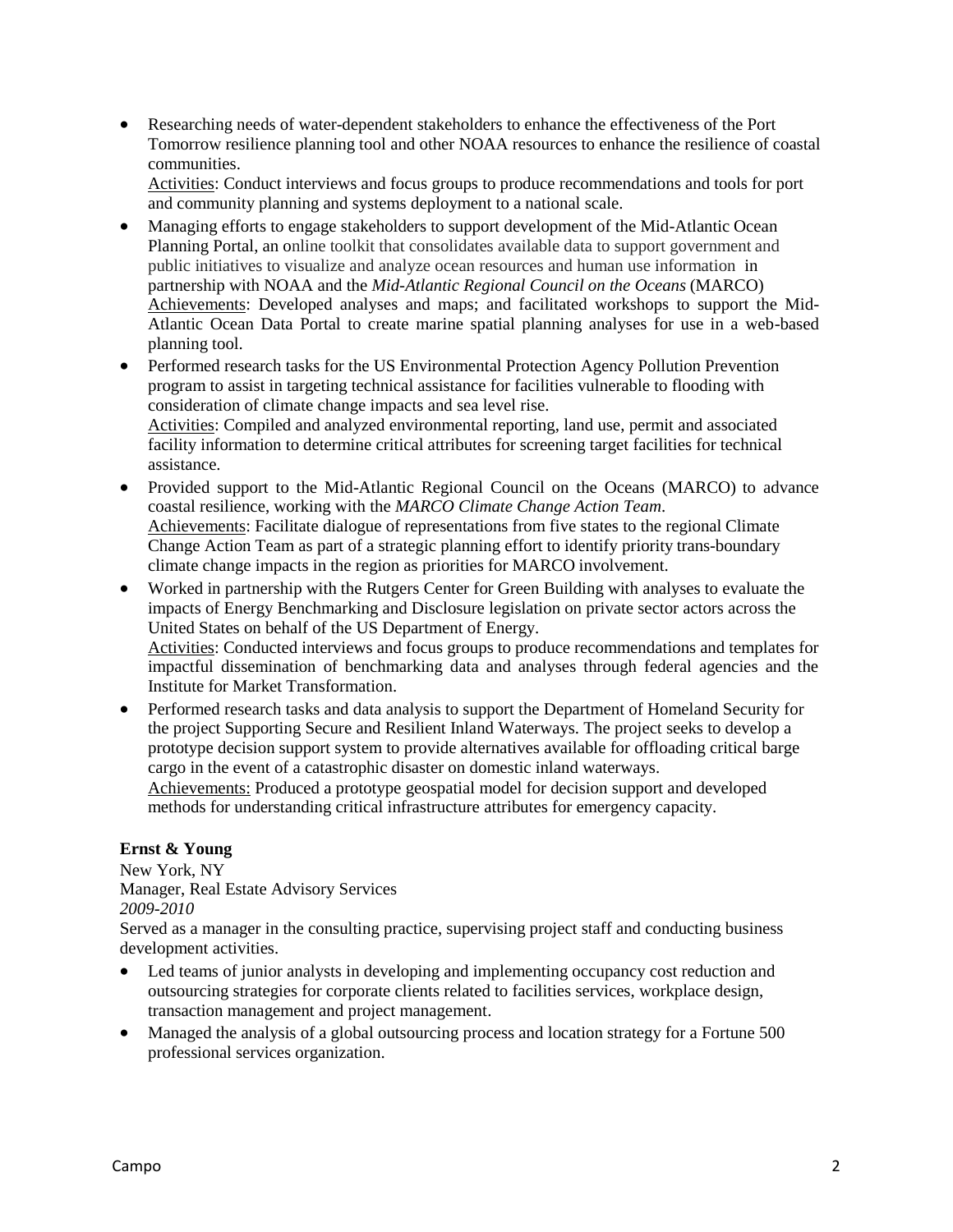Researching needs of water-dependent stakeholders to enhance the effectiveness of the Port Tomorrow resilience planning tool and other NOAA resources to enhance the resilience of coastal communities.

Activities: Conduct interviews and focus groups to produce recommendations and tools for port and community planning and systems deployment to a national scale.

- Managing efforts to engage stakeholders to support development of the Mid-Atlantic Ocean Planning Portal, an online toolkit that consolidates available data to support government and public initiatives to visualize and analyze ocean resources and human use information in partnership with NOAA and the *Mid-Atlantic Regional Council on the Oceans* (MARCO) Achievements: Developed analyses and maps; and facilitated workshops to support the Mid-Atlantic Ocean Data Portal to create marine spatial planning analyses for use in a web-based planning tool.
- Performed research tasks for the US Environmental Protection Agency Pollution Prevention program to assist in targeting technical assistance for facilities vulnerable to flooding with consideration of climate change impacts and sea level rise. Activities: Compiled and analyzed environmental reporting, land use, permit and associated facility information to determine critical attributes for screening target facilities for technical assistance.
- Provided support to the Mid-Atlantic Regional Council on the Oceans (MARCO) to advance coastal resilience, working with the *MARCO Climate Change Action Team*. Achievements: Facilitate dialogue of representations from five states to the regional Climate Change Action Team as part of a strategic planning effort to identify priority trans-boundary climate change impacts in the region as priorities for MARCO involvement.
- Worked in partnership with the Rutgers Center for Green Building with analyses to evaluate the impacts of Energy Benchmarking and Disclosure legislation on private sector actors across the United States on behalf of the US Department of Energy. Activities: Conducted interviews and focus groups to produce recommendations and templates for impactful dissemination of benchmarking data and analyses through federal agencies and the
- Institute for Market Transformation. • Performed research tasks and data analysis to support the Department of Homeland Security for the project Supporting Secure and Resilient Inland Waterways. The project seeks to develop a prototype decision support system to provide alternatives available for offloading critical barge cargo in the event of a catastrophic disaster on domestic inland waterways.

Achievements: Produced a prototype geospatial model for decision support and developed methods for understanding critical infrastructure attributes for emergency capacity.

### **Ernst & Young**

New York, NY

Manager, Real Estate Advisory Services *2009-2010*

Served as a manager in the consulting practice, supervising project staff and conducting business development activities.

- Led teams of junior analysts in developing and implementing occupancy cost reduction and outsourcing strategies for corporate clients related to facilities services, workplace design, transaction management and project management.
- Managed the analysis of a global outsourcing process and location strategy for a Fortune 500 professional services organization.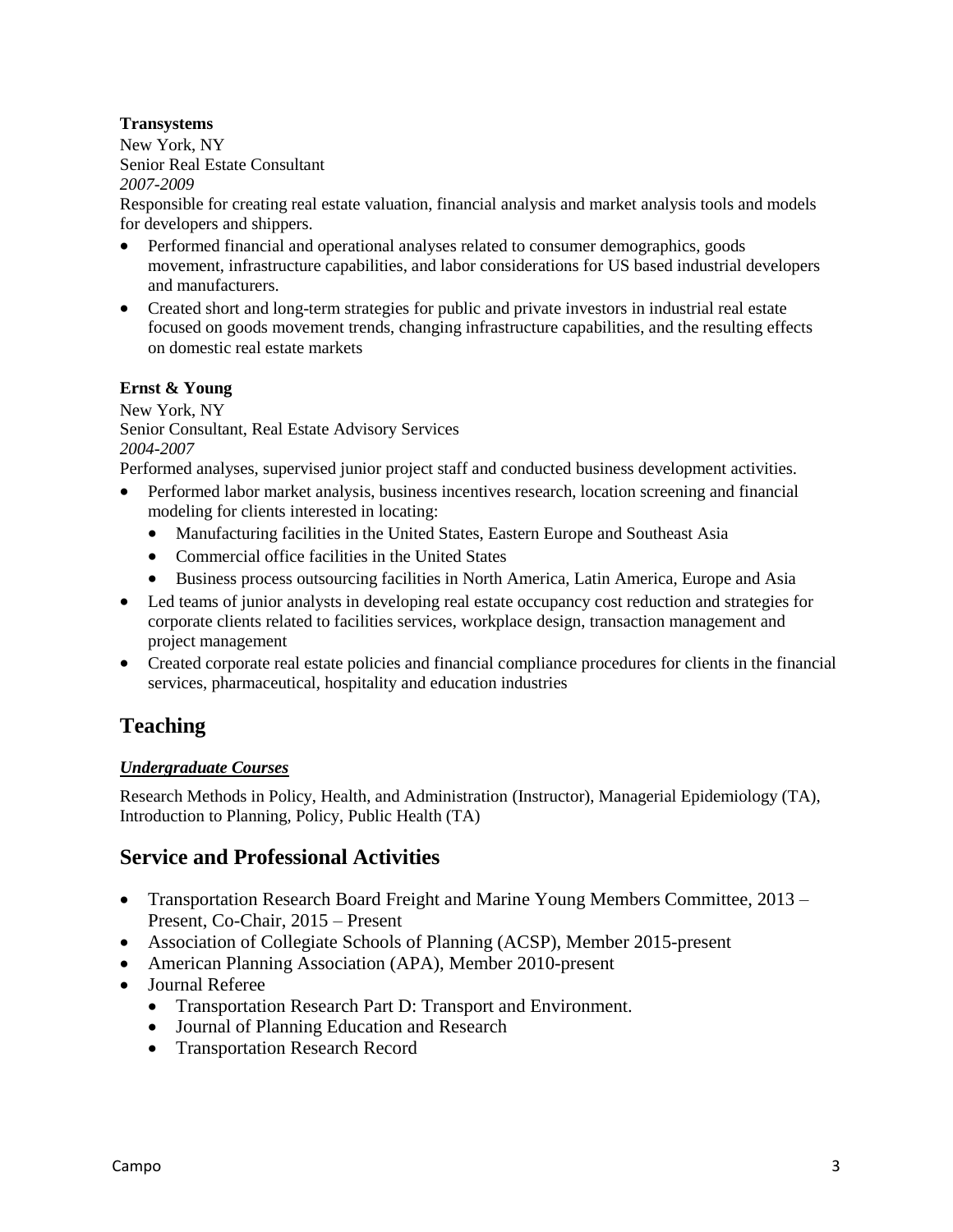### **Transystems**

New York, NY Senior Real Estate Consultant *2007-2009*

Responsible for creating real estate valuation, financial analysis and market analysis tools and models for developers and shippers.

- Performed financial and operational analyses related to consumer demographics, goods movement, infrastructure capabilities, and labor considerations for US based industrial developers and manufacturers.
- Created short and long-term strategies for public and private investors in industrial real estate focused on goods movement trends, changing infrastructure capabilities, and the resulting effects on domestic real estate markets

#### **Ernst & Young**

New York, NY Senior Consultant, Real Estate Advisory Services *2004-2007*

Performed analyses, supervised junior project staff and conducted business development activities.

- Performed labor market analysis, business incentives research, location screening and financial modeling for clients interested in locating:
	- Manufacturing facilities in the United States, Eastern Europe and Southeast Asia
	- Commercial office facilities in the United States
	- Business process outsourcing facilities in North America, Latin America, Europe and Asia
- Led teams of junior analysts in developing real estate occupancy cost reduction and strategies for corporate clients related to facilities services, workplace design, transaction management and project management
- Created corporate real estate policies and financial compliance procedures for clients in the financial services, pharmaceutical, hospitality and education industries

## **Teaching**

#### *Undergraduate Courses*

Research Methods in Policy, Health, and Administration (Instructor), Managerial Epidemiology (TA), Introduction to Planning, Policy, Public Health (TA)

## **Service and Professional Activities**

- Transportation Research Board Freight and Marine Young Members Committee, 2013 Present, Co-Chair, 2015 – Present
- Association of Collegiate Schools of Planning (ACSP), Member 2015-present
- American Planning Association (APA), Member 2010-present
- Journal Referee
	- Transportation Research Part D: Transport and Environment.
	- Journal of Planning Education and Research
	- Transportation Research Record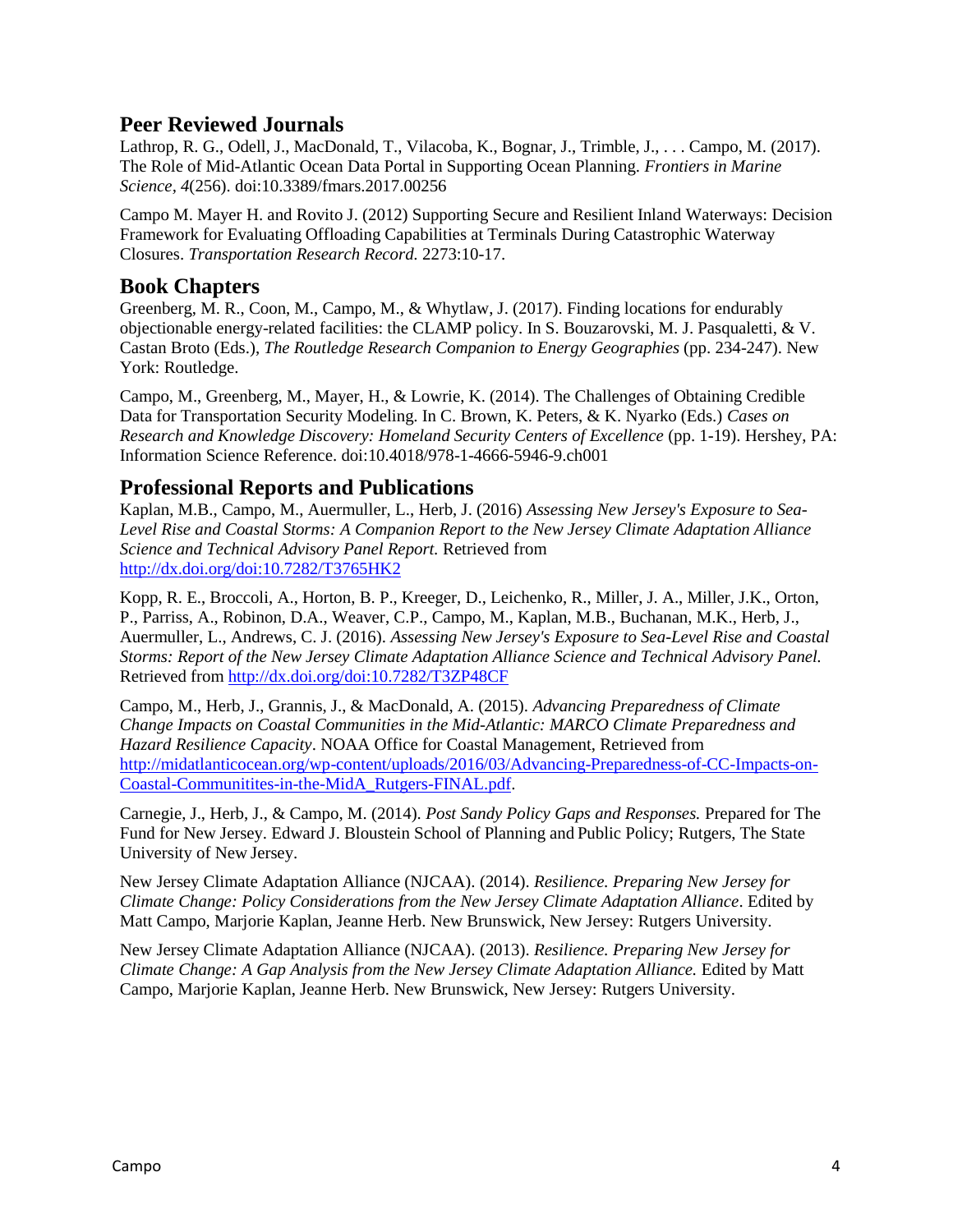### **Peer Reviewed Journals**

Lathrop, R. G., Odell, J., MacDonald, T., Vilacoba, K., Bognar, J., Trimble, J., . . . Campo, M. (2017). The Role of Mid-Atlantic Ocean Data Portal in Supporting Ocean Planning. *Frontiers in Marine Science, 4*(256). doi:10.3389/fmars.2017.00256

Campo M. Mayer H. and Rovito J. (2012) Supporting Secure and Resilient Inland Waterways: Decision Framework for Evaluating Offloading Capabilities at Terminals During Catastrophic Waterway Closures. *Transportation Research Record.* 2273:10-17.

### **Book Chapters**

Greenberg, M. R., Coon, M., Campo, M., & Whytlaw, J. (2017). Finding locations for endurably objectionable energy-related facilities: the CLAMP policy. In S. Bouzarovski, M. J. Pasqualetti, & V. Castan Broto (Eds.), *The Routledge Research Companion to Energy Geographies* (pp. 234-247). New York: Routledge.

Campo, M., Greenberg, M., Mayer, H., & Lowrie, K. (2014). The Challenges of Obtaining Credible Data for Transportation Security Modeling. In C. Brown, K. Peters, & K. Nyarko (Eds.) *Cases on Research and Knowledge Discovery: Homeland Security Centers of Excellence* (pp. 1-19). Hershey, PA: Information Science Reference. doi:10.4018/978-1-4666-5946-9.ch001

### **Professional Reports and Publications**

Kaplan, M.B., Campo, M., Auermuller, L., Herb, J. (2016) *Assessing New Jersey's Exposure to Sea-Level Rise and Coastal Storms: A Companion Report to the New Jersey Climate Adaptation Alliance Science and Technical Advisory Panel Report.* Retrieved from <http://dx.doi.org/doi:10.7282/T3765HK2>

Kopp, R. E., Broccoli, A., Horton, B. P., Kreeger, D., Leichenko, R., Miller, J. A., Miller, J.K., Orton, P., Parriss, A., Robinon, D.A., Weaver, C.P., Campo, M., Kaplan, M.B., Buchanan, M.K., Herb, J., Auermuller, L., Andrews, C. J. (2016). *Assessing New Jersey's Exposure to Sea-Level Rise and Coastal Storms: Report of the New Jersey Climate Adaptation Alliance Science and Technical Advisory Panel.* Retrieved fro[m http://dx.doi.org/doi:10.7282/T3ZP48CF](http://dx.doi.org/doi:10.7282/T3ZP48CF)

Campo, M., Herb, J., Grannis, J., & MacDonald, A. (2015). *Advancing Preparedness of Climate Change Impacts on Coastal Communities in the Mid-Atlantic: MARCO Climate Preparedness and Hazard Resilience Capacity*. NOAA Office for Coastal Management, Retrieved from [http://midatlanticocean.org/wp-content/uploads/2016/03/Advancing-Preparedness-of-CC-Impacts-on-](http://midatlanticocean.org/wp-content/uploads/2016/03/Advancing-Preparedness-of-CC-Impacts-on-Coastal-Communitites-in-the-MidA_Rutgers-FINAL.pdf)[Coastal-Communitites-in-the-MidA\\_Rutgers-FINAL.pdf.](http://midatlanticocean.org/wp-content/uploads/2016/03/Advancing-Preparedness-of-CC-Impacts-on-Coastal-Communitites-in-the-MidA_Rutgers-FINAL.pdf)

Carnegie, J., Herb, J., & Campo, M. (2014). *Post Sandy Policy Gaps and Responses.* Prepared for The Fund for New Jersey. Edward J. Bloustein School of Planning and Public Policy; Rutgers, The State University of New Jersey.

New Jersey Climate Adaptation Alliance (NJCAA). (2014). *Resilience. Preparing New Jersey for Climate Change: Policy Considerations from the New Jersey Climate Adaptation Alliance*. Edited by Matt Campo, Marjorie Kaplan, Jeanne Herb. New Brunswick, New Jersey: Rutgers University.

New Jersey Climate Adaptation Alliance (NJCAA). (2013). *Resilience. Preparing New Jersey for Climate Change: A Gap Analysis from the New Jersey Climate Adaptation Alliance.* Edited by Matt Campo, Marjorie Kaplan, Jeanne Herb. New Brunswick, New Jersey: Rutgers University.